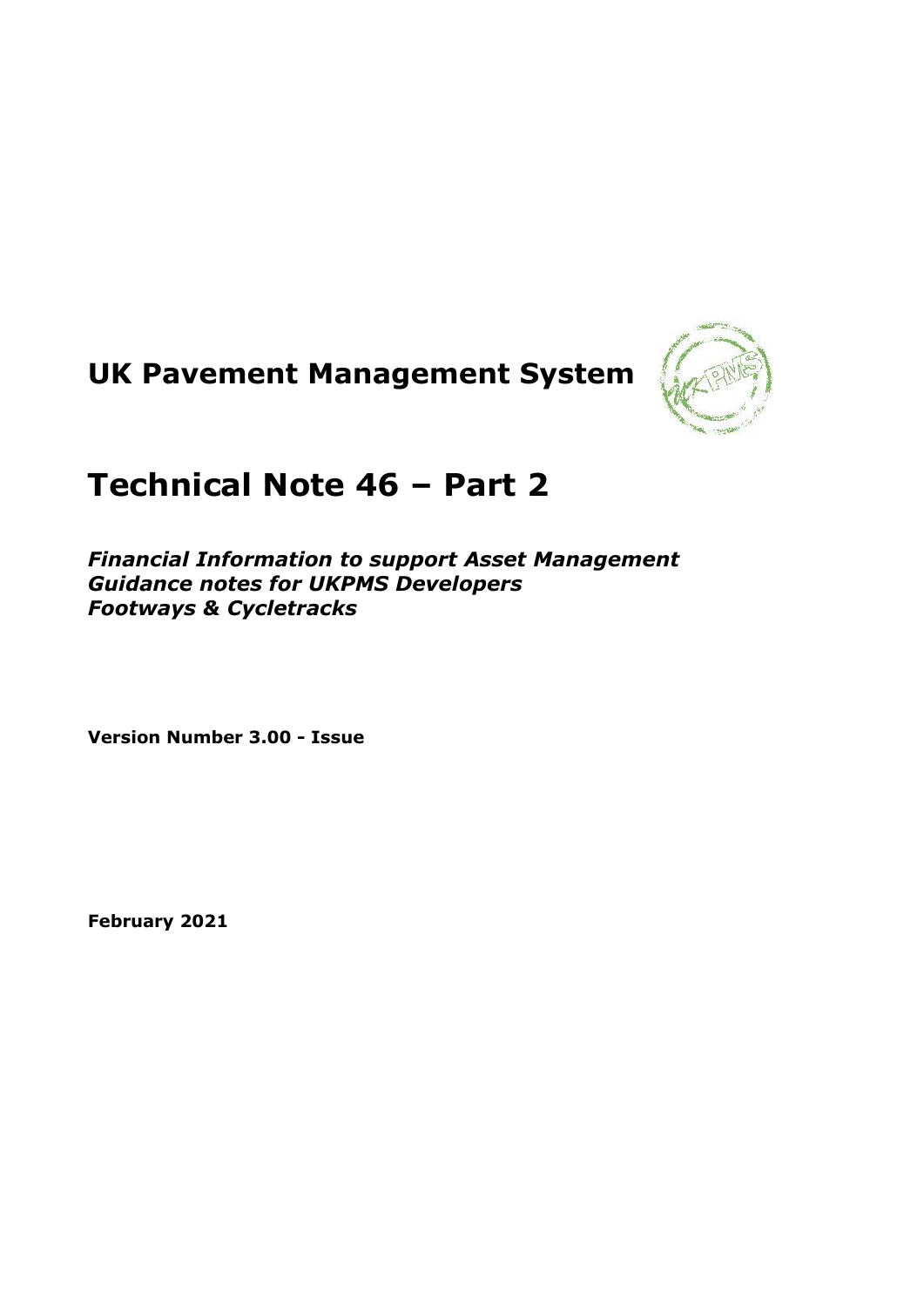



# **Technical Note 46 – Part 2**

*Financial Information to support Asset Management Guidance notes for UKPMS Developers Footways & Cycletracks*

**Version Number 3.00 - Issue**

**February 2021**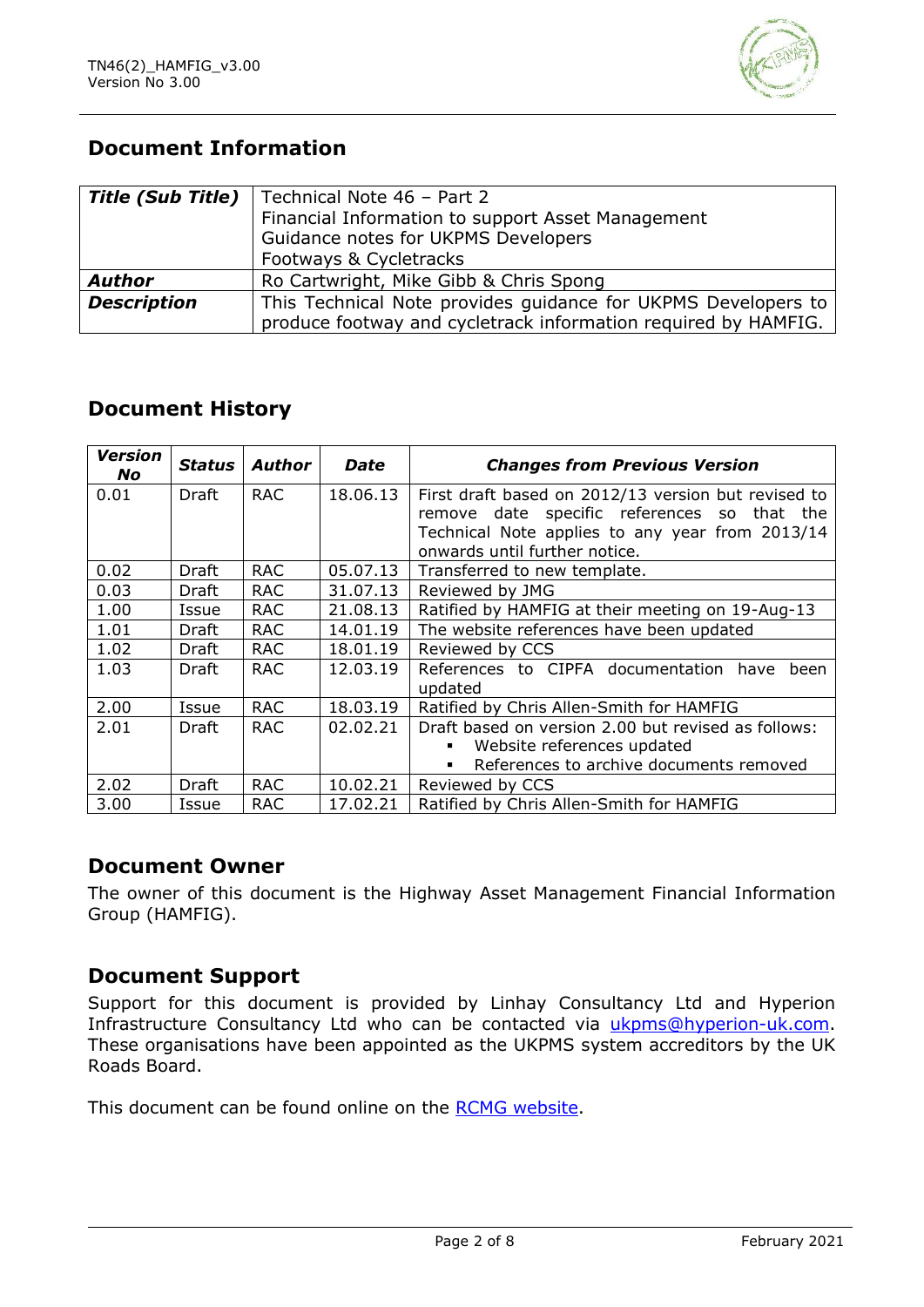

# **Document Information**

| <b>Title (Sub Title)</b> | Technical Note 46 - Part 2                                     |  |  |
|--------------------------|----------------------------------------------------------------|--|--|
|                          | Financial Information to support Asset Management              |  |  |
|                          | Guidance notes for UKPMS Developers                            |  |  |
|                          | Footways & Cycletracks                                         |  |  |
| <b>Author</b>            | Ro Cartwright, Mike Gibb & Chris Spong                         |  |  |
| <b>Description</b>       | This Technical Note provides guidance for UKPMS Developers to  |  |  |
|                          | produce footway and cycletrack information required by HAMFIG. |  |  |

# **Document History**

| <b>Version</b><br><b>No</b> | Status | <b>Author</b> | <b>Date</b> | <b>Changes from Previous Version</b>                |
|-----------------------------|--------|---------------|-------------|-----------------------------------------------------|
| 0.01                        | Draft  | <b>RAC</b>    | 18.06.13    | First draft based on 2012/13 version but revised to |
|                             |        |               |             | remove date specific references so that the         |
|                             |        |               |             | Technical Note applies to any year from 2013/14     |
|                             |        |               |             | onwards until further notice.                       |
| 0.02                        | Draft  | <b>RAC</b>    | 05.07.13    | Transferred to new template.                        |
| 0.03                        | Draft  | <b>RAC</b>    | 31.07.13    | Reviewed by JMG                                     |
| 1.00                        | Issue  | <b>RAC</b>    | 21.08.13    | Ratified by HAMFIG at their meeting on 19-Aug-13    |
| 1.01                        | Draft  | <b>RAC</b>    | 14.01.19    | The website references have been updated            |
| 1.02                        | Draft  | <b>RAC</b>    | 18.01.19    | Reviewed by CCS                                     |
| 1.03                        | Draft  | <b>RAC</b>    | 12.03.19    | References to CIPFA documentation have been         |
|                             |        |               |             | updated                                             |
| 2.00                        | Issue  | <b>RAC</b>    | 18.03.19    | Ratified by Chris Allen-Smith for HAMFIG            |
| 2.01                        | Draft  | <b>RAC</b>    | 02.02.21    | Draft based on version 2.00 but revised as follows: |
|                             |        |               |             | Website references updated<br>٠                     |
|                             |        |               |             | References to archive documents removed             |
| 2.02                        | Draft  | <b>RAC</b>    | 10.02.21    | Reviewed by CCS                                     |
| 3.00                        | Issue  | <b>RAC</b>    | 17.02.21    | Ratified by Chris Allen-Smith for HAMFIG            |

#### **Document Owner**

The owner of this document is the Highway Asset Management Financial Information Group (HAMFIG).

## **Document Support**

Support for this document is provided by Linhay Consultancy Ltd and Hyperion Infrastructure Consultancy Ltd who can be contacted via [ukpms@hyperion-uk.com.](mailto:ukpms@hyperion-uk.com) These organisations have been appointed as the UKPMS system accreditors by the UK Roads Board.

This document can be found online on the [RCMG website.](https://www.ciht.org.uk/ukrlg-home/guidance/road-condition-information/data-management/uk-pavement-management-system-ukpms/)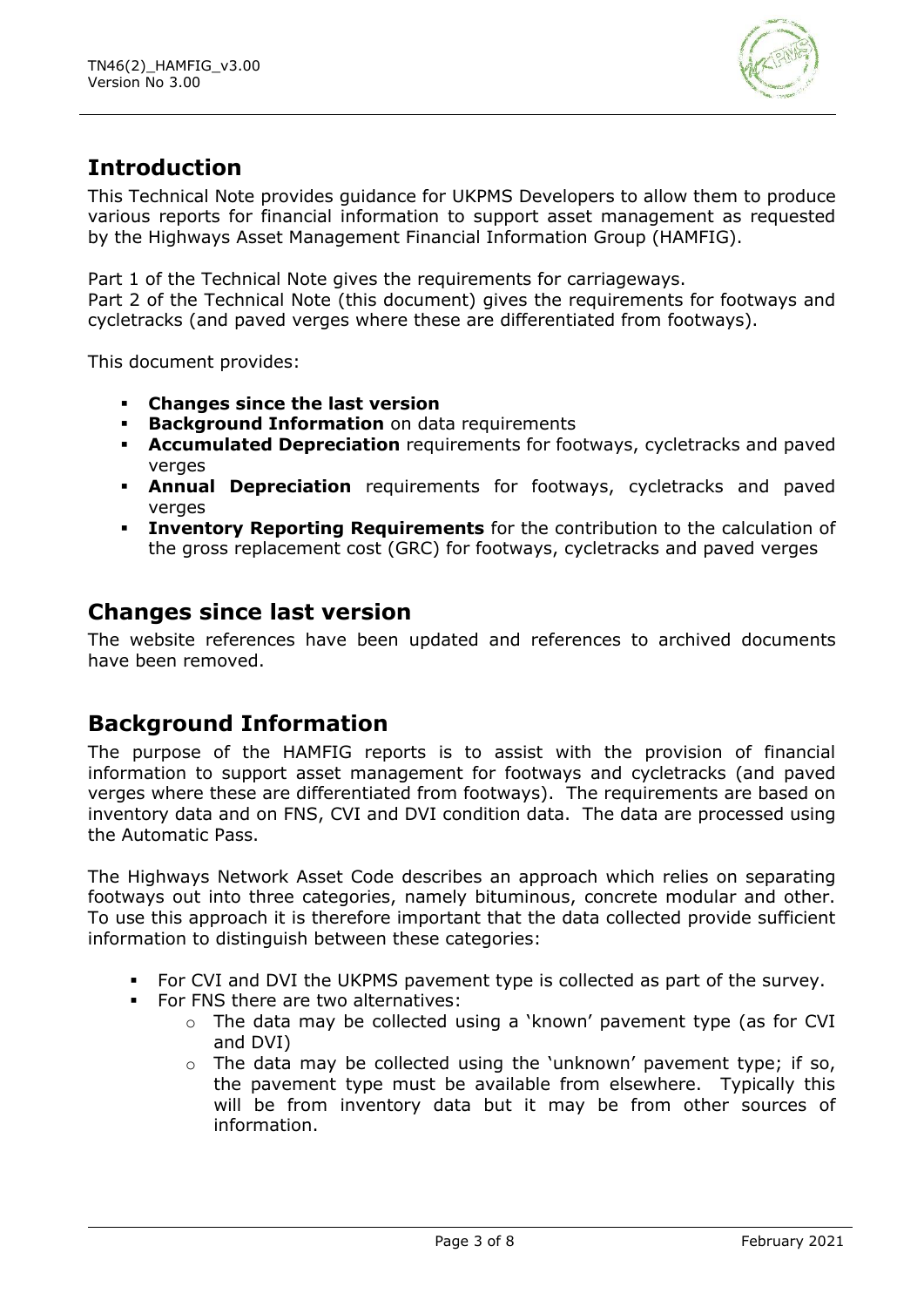

# **Introduction**

This Technical Note provides guidance for UKPMS Developers to allow them to produce various reports for financial information to support asset management as requested by the Highways Asset Management Financial Information Group (HAMFIG).

Part 1 of the Technical Note gives the requirements for carriageways. Part 2 of the Technical Note (this document) gives the requirements for footways and cycletracks (and paved verges where these are differentiated from footways).

This document provides:

- **Changes since the last version**
- **Background Information** on data requirements
- **EXECUMURATED PEPRECIATION requirements for footways, cycletracks and paved** verges
- **. Annual Depreciation** requirements for footways, cycletracks and paved verges
- **Inventory Reporting Requirements** for the contribution to the calculation of the gross replacement cost (GRC) for footways, cycletracks and paved verges

# **Changes since last version**

The website references have been updated and references to archived documents have been removed.

# **Background Information**

The purpose of the HAMFIG reports is to assist with the provision of financial information to support asset management for footways and cycletracks (and paved verges where these are differentiated from footways). The requirements are based on inventory data and on FNS, CVI and DVI condition data. The data are processed using the Automatic Pass.

The Highways Network Asset Code describes an approach which relies on separating footways out into three categories, namely bituminous, concrete modular and other. To use this approach it is therefore important that the data collected provide sufficient information to distinguish between these categories:

- For CVI and DVI the UKPMS pavement type is collected as part of the survey.
- For FNS there are two alternatives:
	- o The data may be collected using a 'known' pavement type (as for CVI and DVI)
	- $\circ$  The data may be collected using the 'unknown' pavement type; if so, the pavement type must be available from elsewhere. Typically this will be from inventory data but it may be from other sources of information.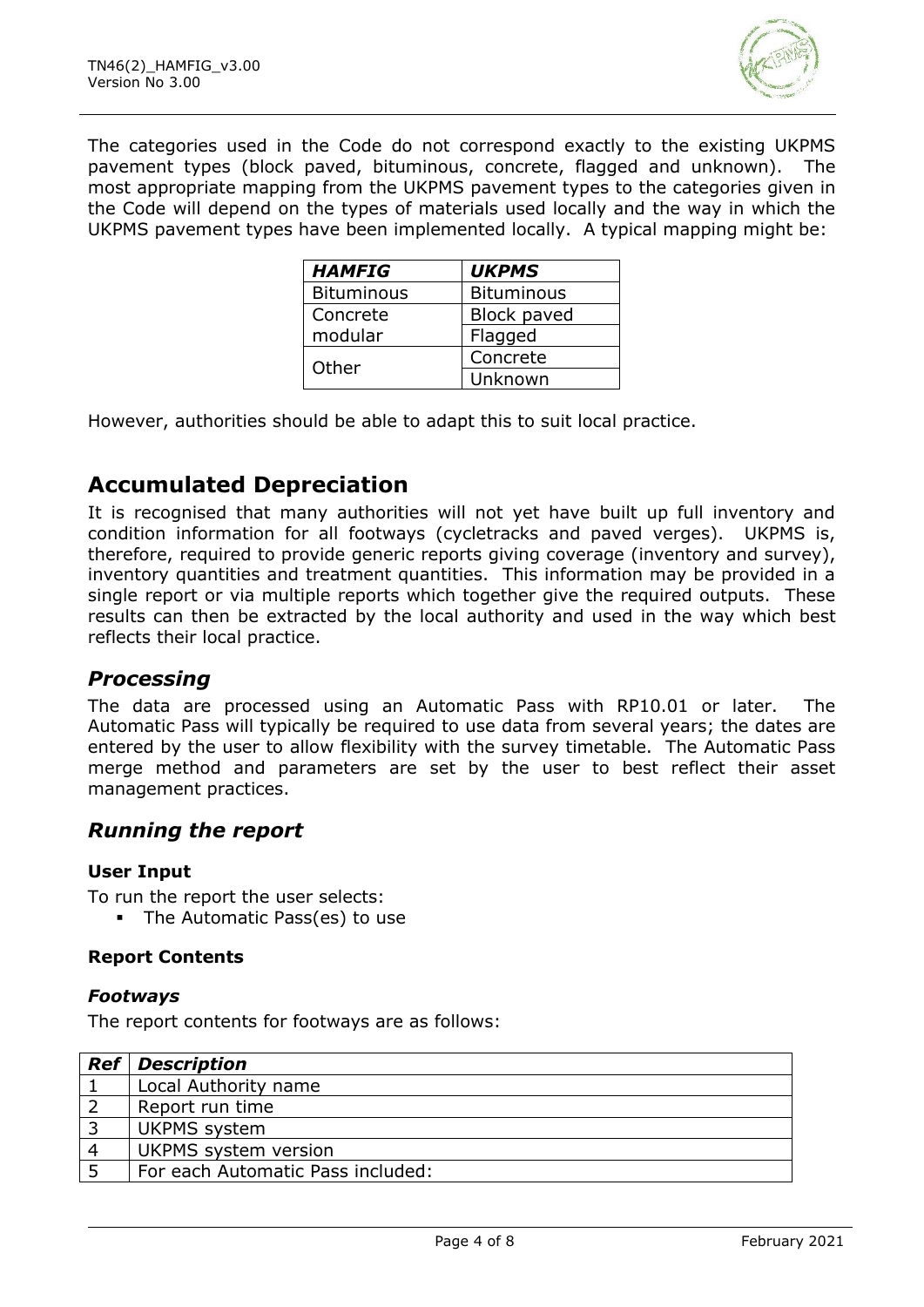

The categories used in the Code do not correspond exactly to the existing UKPMS pavement types (block paved, bituminous, concrete, flagged and unknown). The most appropriate mapping from the UKPMS pavement types to the categories given in the Code will depend on the types of materials used locally and the way in which the UKPMS pavement types have been implemented locally. A typical mapping might be:

| <b>HAMFIG</b>     | <b>UKPMS</b>       |
|-------------------|--------------------|
| <b>Bituminous</b> | <b>Bituminous</b>  |
| Concrete          | <b>Block paved</b> |
| modular           | Flagged            |
|                   | Concrete           |
| Other             | Unknown            |

However, authorities should be able to adapt this to suit local practice.

# **Accumulated Depreciation**

It is recognised that many authorities will not yet have built up full inventory and condition information for all footways (cycletracks and paved verges). UKPMS is, therefore, required to provide generic reports giving coverage (inventory and survey), inventory quantities and treatment quantities. This information may be provided in a single report or via multiple reports which together give the required outputs. These results can then be extracted by the local authority and used in the way which best reflects their local practice.

## *Processing*

The data are processed using an Automatic Pass with RP10.01 or later. The Automatic Pass will typically be required to use data from several years; the dates are entered by the user to allow flexibility with the survey timetable. The Automatic Pass merge method and parameters are set by the user to best reflect their asset management practices.

#### *Running the report*

#### **User Input**

To run the report the user selects:

**•** The Automatic Pass(es) to use

#### **Report Contents**

#### *Footways*

The report contents for footways are as follows:

|                | <b>Ref</b> Description            |
|----------------|-----------------------------------|
|                | Local Authority name              |
|                | Report run time                   |
|                | <b>UKPMS</b> system               |
| $\overline{4}$ | UKPMS system version              |
|                | For each Automatic Pass included: |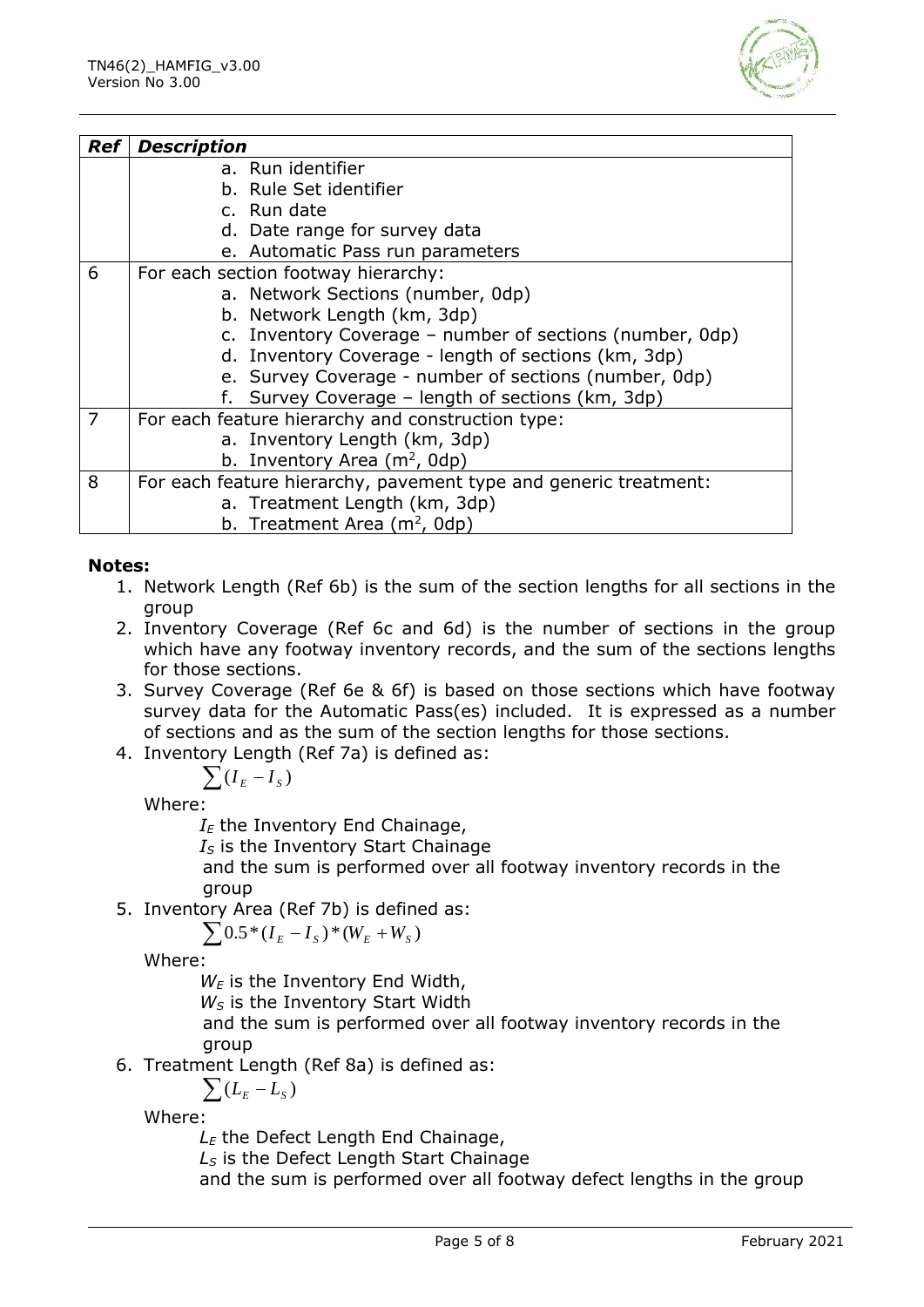

| <b>Ref</b> | <b>Description</b>                                               |
|------------|------------------------------------------------------------------|
|            | a. Run identifier                                                |
|            | b. Rule Set identifier                                           |
|            | c. Run date                                                      |
|            | d. Date range for survey data                                    |
|            | e. Automatic Pass run parameters                                 |
| 6          | For each section footway hierarchy:                              |
|            | a. Network Sections (number, 0dp)                                |
|            | b. Network Length (km, 3dp)                                      |
|            | c. Inventory Coverage – number of sections (number, 0dp)         |
|            | d. Inventory Coverage - length of sections (km, 3dp)             |
|            | e. Survey Coverage - number of sections (number, 0dp)            |
|            | f. Survey Coverage - length of sections (km, 3dp)                |
| 7          | For each feature hierarchy and construction type:                |
|            | a. Inventory Length (km, 3dp)                                    |
|            | b. Inventory Area $(m^2, 0dp)$                                   |
| 8          | For each feature hierarchy, pavement type and generic treatment: |
|            | a. Treatment Length (km, 3dp)                                    |
|            | b. Treatment Area $(m^2, 0dp)$                                   |

#### **Notes:**

- 1. Network Length (Ref 6b) is the sum of the section lengths for all sections in the group
- 2. Inventory Coverage (Ref 6c and 6d) is the number of sections in the group which have any footway inventory records, and the sum of the sections lengths for those sections.
- 3. Survey Coverage (Ref 6e & 6f) is based on those sections which have footway survey data for the Automatic Pass(es) included. It is expressed as a number of sections and as the sum of the section lengths for those sections.
- 4. Inventory Length (Ref 7a) is defined as:

$$
\sum (I_E - I_S)
$$

Where:

 $I<sub>E</sub>$  the Inventory End Chainage,

*I<sup>S</sup>* is the Inventory Start Chainage

and the sum is performed over all footway inventory records in the group

5. Inventory Area (Ref 7b) is defined as:

$$
\sum 0.5^*(I_{\scriptscriptstyle E}-I_{\scriptscriptstyle S})^*(W_{\scriptscriptstyle E}+W_{\scriptscriptstyle S})
$$

Where:

*W<sup>E</sup>* is the Inventory End Width,

*W<sup>S</sup>* is the Inventory Start Width

and the sum is performed over all footway inventory records in the group

6. Treatment Length (Ref 8a) is defined as:

$$
\sum (L_E - L_S)
$$

Where:

*L<sup>E</sup>* the Defect Length End Chainage,

*L<sup>S</sup>* is the Defect Length Start Chainage

and the sum is performed over all footway defect lengths in the group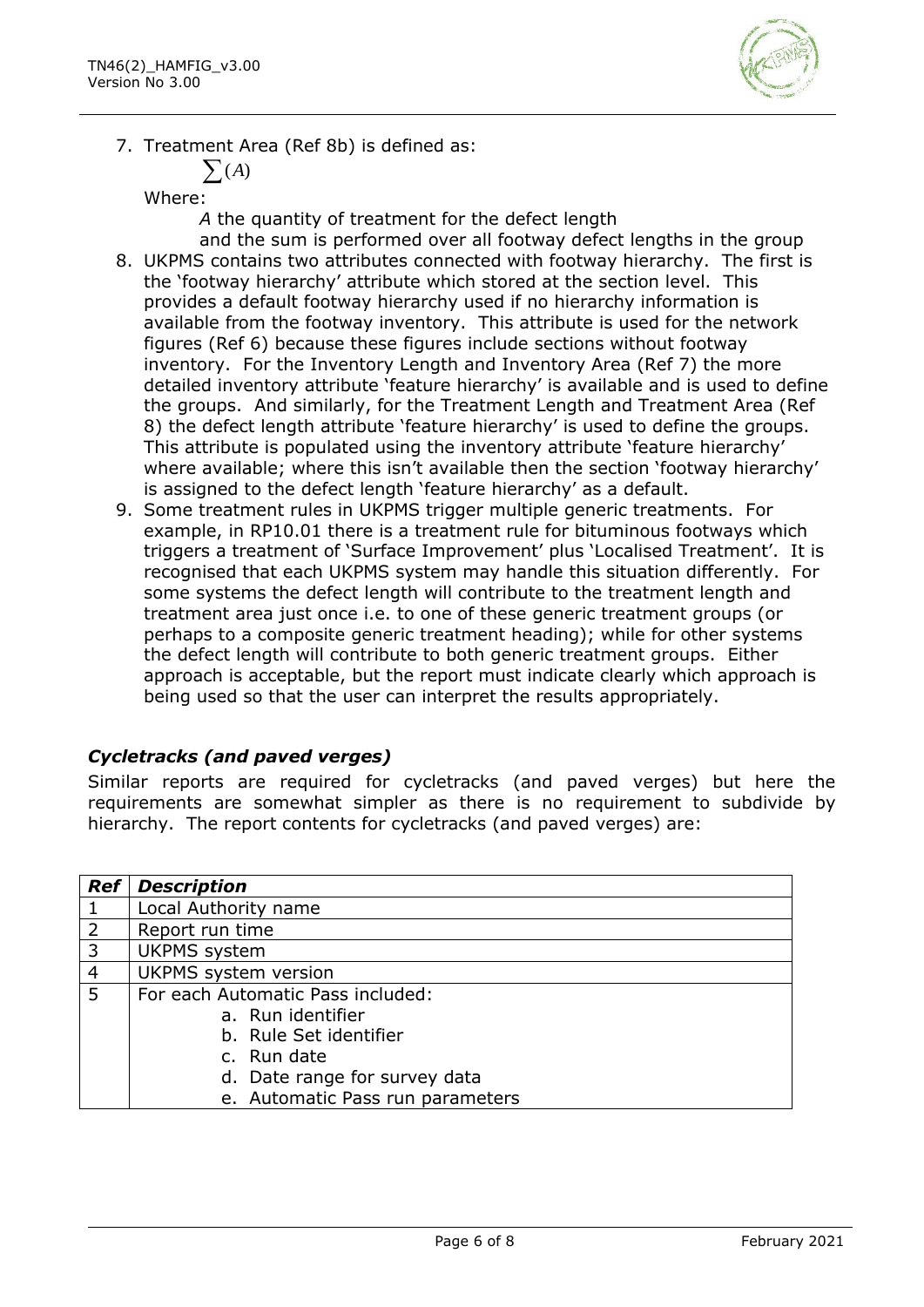

7. Treatment Area (Ref 8b) is defined as:

$$
\sum(A)
$$

Where:

*A* the quantity of treatment for the defect length

- and the sum is performed over all footway defect lengths in the group 8. UKPMS contains two attributes connected with footway hierarchy. The first is the 'footway hierarchy' attribute which stored at the section level. This provides a default footway hierarchy used if no hierarchy information is available from the footway inventory. This attribute is used for the network figures (Ref 6) because these figures include sections without footway inventory. For the Inventory Length and Inventory Area (Ref 7) the more detailed inventory attribute 'feature hierarchy' is available and is used to define the groups. And similarly, for the Treatment Length and Treatment Area (Ref 8) the defect length attribute 'feature hierarchy' is used to define the groups. This attribute is populated using the inventory attribute 'feature hierarchy' where available; where this isn't available then the section 'footway hierarchy' is assigned to the defect length 'feature hierarchy' as a default.
- 9. Some treatment rules in UKPMS trigger multiple generic treatments. For example, in RP10.01 there is a treatment rule for bituminous footways which triggers a treatment of 'Surface Improvement' plus 'Localised Treatment'. It is recognised that each UKPMS system may handle this situation differently. For some systems the defect length will contribute to the treatment length and treatment area just once i.e. to one of these generic treatment groups (or perhaps to a composite generic treatment heading); while for other systems the defect length will contribute to both generic treatment groups. Either approach is acceptable, but the report must indicate clearly which approach is being used so that the user can interpret the results appropriately.

#### *Cycletracks (and paved verges)*

Similar reports are required for cycletracks (and paved verges) but here the requirements are somewhat simpler as there is no requirement to subdivide by hierarchy. The report contents for cycletracks (and paved verges) are:

| <b>Ref</b>     | <b>Description</b>                |
|----------------|-----------------------------------|
| -1             | Local Authority name              |
| 2              | Report run time                   |
| $\overline{3}$ | <b>UKPMS</b> system               |
| $\overline{4}$ | UKPMS system version              |
| -5             | For each Automatic Pass included: |
|                | a. Run identifier                 |
|                | b. Rule Set identifier            |
|                | c. Run date                       |
|                | d. Date range for survey data     |
|                | e. Automatic Pass run parameters  |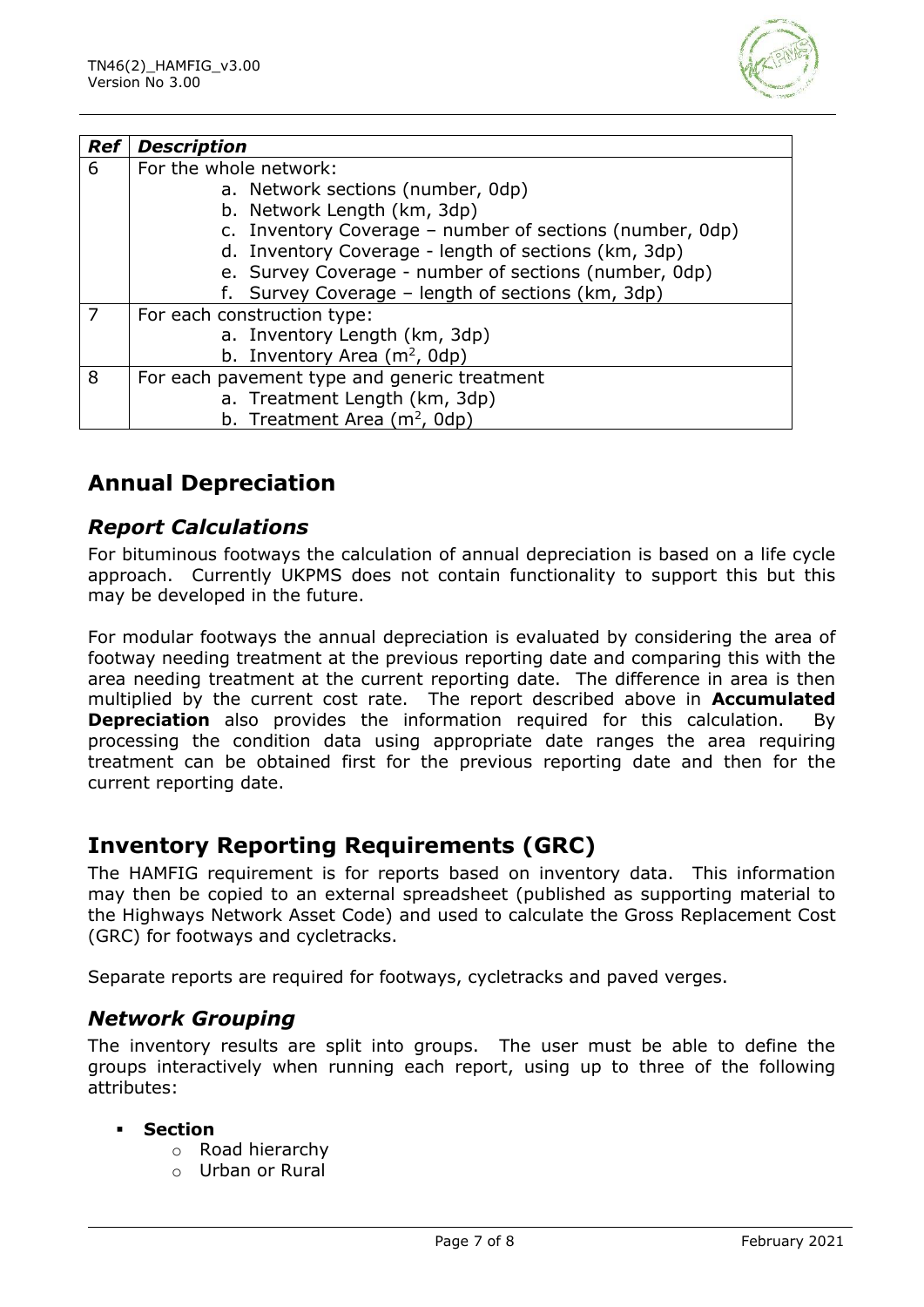

| <b>Ref</b> | <b>Description</b>                                       |
|------------|----------------------------------------------------------|
| 6          | For the whole network:                                   |
|            | a. Network sections (number, 0dp)                        |
|            | b. Network Length (km, 3dp)                              |
|            | c. Inventory Coverage - number of sections (number, 0dp) |
|            | d. Inventory Coverage - length of sections (km, 3dp)     |
|            | e. Survey Coverage - number of sections (number, 0dp)    |
|            | f. Survey Coverage - length of sections (km, 3dp)        |
| 7          | For each construction type:                              |
|            | a. Inventory Length (km, 3dp)                            |
|            | b. Inventory Area $(m^2, 0dp)$                           |
| 8          | For each pavement type and generic treatment             |
|            | a. Treatment Length (km, 3dp)                            |
|            | b. Treatment Area ( $m2$ , 0dp)                          |

# **Annual Depreciation**

## *Report Calculations*

For bituminous footways the calculation of annual depreciation is based on a life cycle approach. Currently UKPMS does not contain functionality to support this but this may be developed in the future.

For modular footways the annual depreciation is evaluated by considering the area of footway needing treatment at the previous reporting date and comparing this with the area needing treatment at the current reporting date. The difference in area is then multiplied by the current cost rate. The report described above in **Accumulated Depreciation** also provides the information required for this calculation. By processing the condition data using appropriate date ranges the area requiring treatment can be obtained first for the previous reporting date and then for the current reporting date.

# **Inventory Reporting Requirements (GRC)**

The HAMFIG requirement is for reports based on inventory data. This information may then be copied to an external spreadsheet (published as supporting material to the Highways Network Asset Code) and used to calculate the Gross Replacement Cost (GRC) for footways and cycletracks.

Separate reports are required for footways, cycletracks and paved verges.

## *Network Grouping*

The inventory results are split into groups. The user must be able to define the groups interactively when running each report, using up to three of the following attributes:

#### **Section**

- o Road hierarchy
- o Urban or Rural